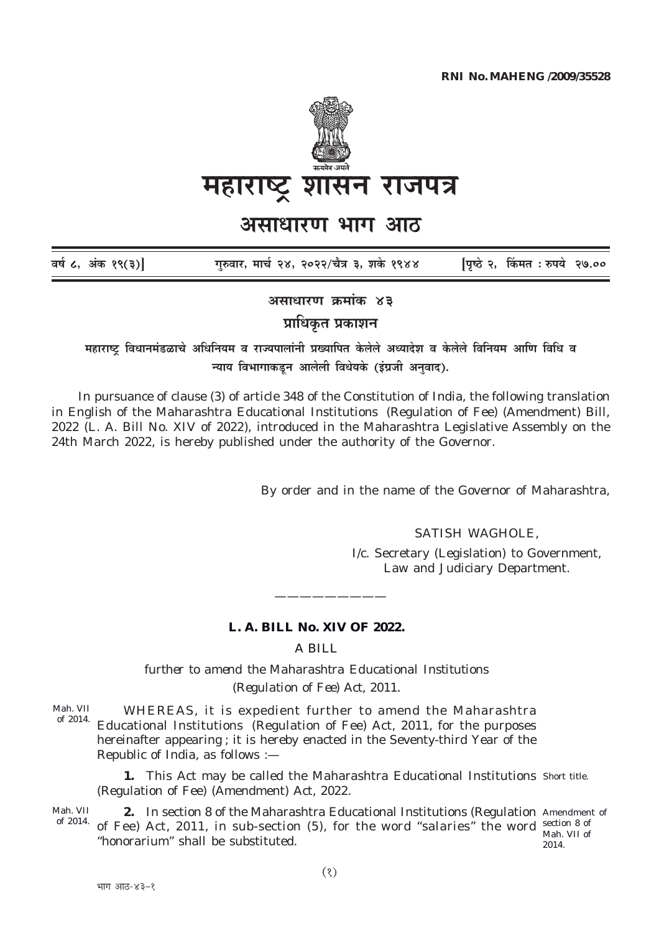

महाराष्ट्र शासन राजपत्र

असाधारण भाग आठ

| वर्ष ८, अंक १९(३)] | गुरुवार, मार्च २४, २०२२/चैत्र ३, शके १९४४ | [पृष्ठे २, किंमत : रुपये  २७.०० |  |
|--------------------|-------------------------------------------|---------------------------------|--|
|                    |                                           |                                 |  |

असाधारण क्रमांक ४३

प्राधिकृत प्रकाशन

महाराष्ट्र विधानमंडळाचे अधिनियम व राज्यपालांनी प्रख्यापित केलेले अध्यादेश व केलेले विनियम आणि विधि व न्याय विभागाकडून आलेली विधेयके (इंग्रजी अनुवाद).

In pursuance of clause (3) of article 348 of the Constitution of India, the following translation in English of the Maharashtra Educational Institutions (Regulation of Fee) (Amendment) Bill, 2022 (L. A. Bill No. XIV of 2022), introduced in the Maharashtra Legislative Assembly on the 24th March 2022, is hereby published under the authority of the Governor.

By order and in the name of the Governor of Maharashtra,

**SATISH WAGHOLE.** 

I/c. Secretary (Legislation) to Government, Law and Judiciary Department.

## L. A. BILL No. XIV OF 2022.

A BILL

further to amend the Maharashtra Educational Institutions (Regulation of Fee) Act, 2011.

Mah. VII WHEREAS, it is expedient further to amend the Maharashtra of 2014. Educational Institutions (Regulation of Fee) Act, 2011, for the purposes hereinafter appearing; it is hereby enacted in the Seventy-third Year of the Republic of India, as follows :-

1. This Act may be called the Maharashtra Educational Institutions Short title. (Regulation of Fee) (Amendment) Act, 2022.

Mah. VII 2. In section 8 of the Maharashtra Educational Institutions (Regulation Amendment of of 2014. of Fee) Act, 2011, in sub-section (5), for the word "salaries" the word section 8 of Mah. VII of "honorarium" shall be substituted. 2014.